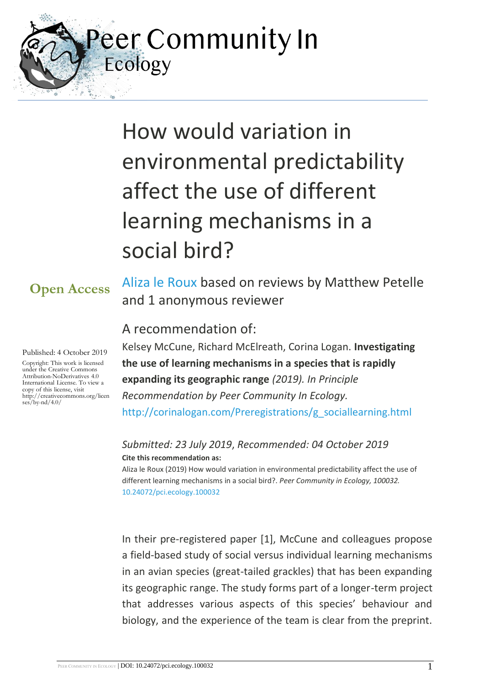eer Community In Ecology

# How would variation in environmental predictability affect the use of different learning mechanisms in a social bird?

# **Open Access**

Published: 4 October 2019

Copyright: This work is licensed under the Creative Commons Attribution-NoDerivatives 4.0 International License. To view a copy of this license, visit http://creativecommons.org/licen ses/by-nd/4.0/

[Aliza le Roux](https://ecology.peercommunityin.org/public/viewUserCard?userId=840) based on reviews by Matthew Petelle and 1 anonymous reviewer

# A recommendation of:

Kelsey McCune, Richard McElreath, Corina Logan. **Investigating the use of learning mechanisms in a species that is rapidly expanding its geographic range** *(2019). In Principle Recommendation by Peer Community In Ecology.*  [http://corinalogan.com/Preregistrations/g\\_sociallearning.html](http://corinalogan.com/Preregistrations/g_sociallearning.html)

#### *Submitted: 23 July 2019*, *Recommended: 04 October 2019* **Cite this recommendation as:**

Aliza le Roux (2019) How would variation in environmental predictability affect the use of different learning mechanisms in a social bird?. *Peer Community in Ecology, 100032.*  [10.24072/pci.ecology.100032](https://doi.org/10.24072/pci.ecology.100032)

In their pre-registered paper [1], McCune and colleagues propose a field-based study of social versus individual learning mechanisms in an avian species (great-tailed grackles) that has been expanding its geographic range. The study forms part of a longer-term project that addresses various aspects of this species' behaviour and biology, and the experience of the team is clear from the preprint.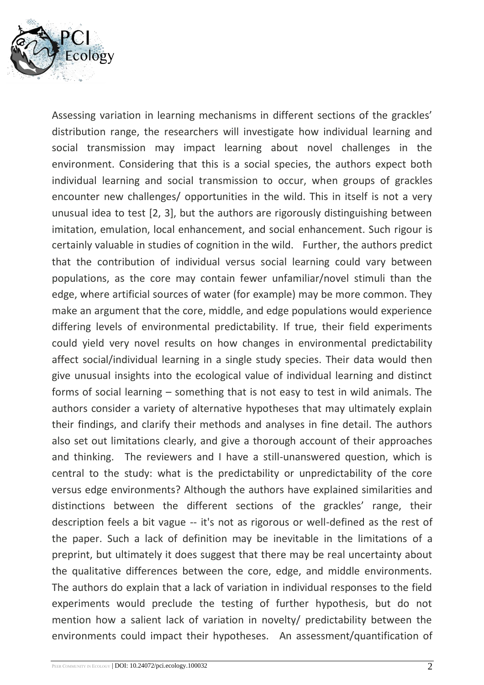

Assessing variation in learning mechanisms in different sections of the grackles' distribution range, the researchers will investigate how individual learning and social transmission may impact learning about novel challenges in the environment. Considering that this is a social species, the authors expect both individual learning and social transmission to occur, when groups of grackles encounter new challenges/ opportunities in the wild. This in itself is not a very unusual idea to test [2, 3], but the authors are rigorously distinguishing between imitation, emulation, local enhancement, and social enhancement. Such rigour is certainly valuable in studies of cognition in the wild. Further, the authors predict that the contribution of individual versus social learning could vary between populations, as the core may contain fewer unfamiliar/novel stimuli than the edge, where artificial sources of water (for example) may be more common. They make an argument that the core, middle, and edge populations would experience differing levels of environmental predictability. If true, their field experiments could yield very novel results on how changes in environmental predictability affect social/individual learning in a single study species. Their data would then give unusual insights into the ecological value of individual learning and distinct forms of social learning – something that is not easy to test in wild animals. The authors consider a variety of alternative hypotheses that may ultimately explain their findings, and clarify their methods and analyses in fine detail. The authors also set out limitations clearly, and give a thorough account of their approaches and thinking. The reviewers and I have a still-unanswered question, which is central to the study: what is the predictability or unpredictability of the core versus edge environments? Although the authors have explained similarities and distinctions between the different sections of the grackles' range, their description feels a bit vague -- it's not as rigorous or well-defined as the rest of the paper. Such a lack of definition may be inevitable in the limitations of a preprint, but ultimately it does suggest that there may be real uncertainty about the qualitative differences between the core, edge, and middle environments. The authors do explain that a lack of variation in individual responses to the field experiments would preclude the testing of further hypothesis, but do not mention how a salient lack of variation in novelty/ predictability between the environments could impact their hypotheses. An assessment/quantification of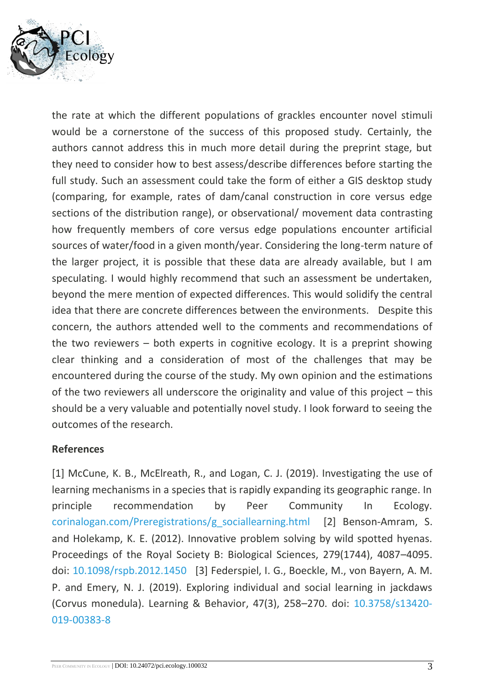

the rate at which the different populations of grackles encounter novel stimuli would be a cornerstone of the success of this proposed study. Certainly, the authors cannot address this in much more detail during the preprint stage, but they need to consider how to best assess/describe differences before starting the full study. Such an assessment could take the form of either a GIS desktop study (comparing, for example, rates of dam/canal construction in core versus edge sections of the distribution range), or observational/ movement data contrasting how frequently members of core versus edge populations encounter artificial sources of water/food in a given month/year. Considering the long-term nature of the larger project, it is possible that these data are already available, but I am speculating. I would highly recommend that such an assessment be undertaken, beyond the mere mention of expected differences. This would solidify the central idea that there are concrete differences between the environments. Despite this concern, the authors attended well to the comments and recommendations of the two reviewers – both experts in cognitive ecology. It is a preprint showing clear thinking and a consideration of most of the challenges that may be encountered during the course of the study. My own opinion and the estimations of the two reviewers all underscore the originality and value of this project – this should be a very valuable and potentially novel study. I look forward to seeing the outcomes of the research.

#### **References**

[1] McCune, K. B., McElreath, R., and Logan, C. J. (2019). Investigating the use of learning mechanisms in a species that is rapidly expanding its geographic range. In principle recommendation by Peer Community In Ecology. [corinalogan.com/Preregistrations/g\\_sociallearning.html](http://corinalogan.com/Preregistrations/g_sociallearning.html) [2] Benson-Amram, S. and Holekamp, K. E. (2012). Innovative problem solving by wild spotted hyenas. Proceedings of the Royal Society B: Biological Sciences, 279(1744), 4087–4095. doi: [10.1098/rspb.2012.1450](https://dx.doi.org/10.1098/rspb.2012.1450) [3] Federspiel, I. G., Boeckle, M., von Bayern, A. M. P. and Emery, N. J. (2019). Exploring individual and social learning in jackdaws (Corvus monedula). Learning & Behavior, 47(3), 258–270. doi: [10.3758/s13420-](https://dx.doi.org/10.3758/s13420-019-00383-8) [019-00383-8](https://dx.doi.org/10.3758/s13420-019-00383-8)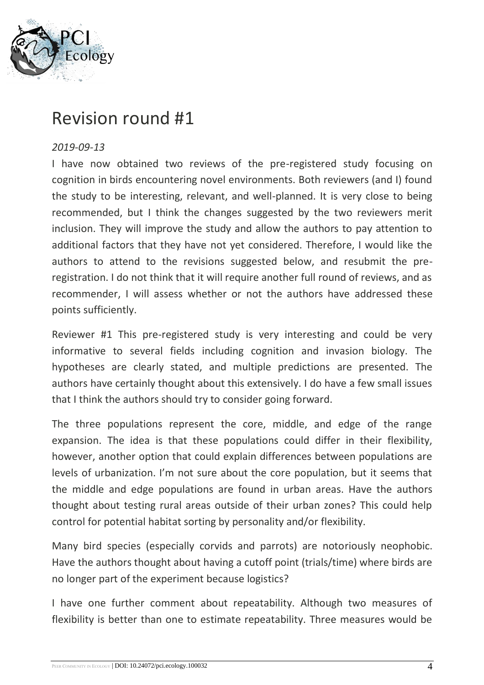

# Revision round #1

#### *2019-09-13*

I have now obtained two reviews of the pre-registered study focusing on cognition in birds encountering novel environments. Both reviewers (and I) found the study to be interesting, relevant, and well-planned. It is very close to being recommended, but I think the changes suggested by the two reviewers merit inclusion. They will improve the study and allow the authors to pay attention to additional factors that they have not yet considered. Therefore, I would like the authors to attend to the revisions suggested below, and resubmit the preregistration. I do not think that it will require another full round of reviews, and as recommender, I will assess whether or not the authors have addressed these points sufficiently.

Reviewer #1 This pre-registered study is very interesting and could be very informative to several fields including cognition and invasion biology. The hypotheses are clearly stated, and multiple predictions are presented. The authors have certainly thought about this extensively. I do have a few small issues that I think the authors should try to consider going forward.

The three populations represent the core, middle, and edge of the range expansion. The idea is that these populations could differ in their flexibility, however, another option that could explain differences between populations are levels of urbanization. I'm not sure about the core population, but it seems that the middle and edge populations are found in urban areas. Have the authors thought about testing rural areas outside of their urban zones? This could help control for potential habitat sorting by personality and/or flexibility.

Many bird species (especially corvids and parrots) are notoriously neophobic. Have the authors thought about having a cutoff point (trials/time) where birds are no longer part of the experiment because logistics?

I have one further comment about repeatability. Although two measures of flexibility is better than one to estimate repeatability. Three measures would be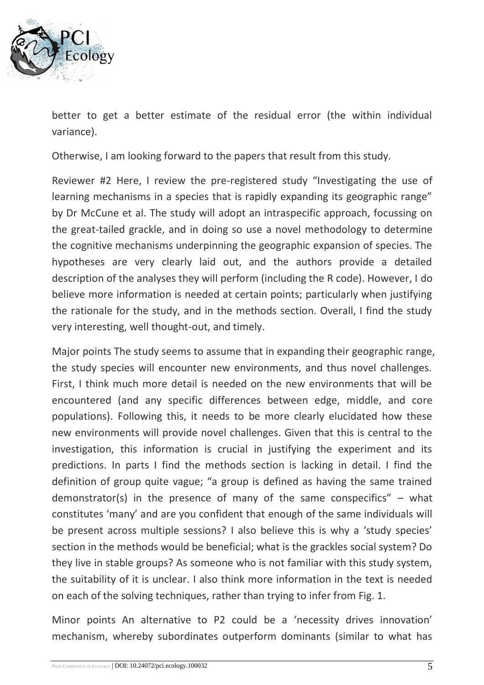

better to get a better estimate of the residual error (the within individual variance).

Otherwise, I am looking forward to the papers that result from this study.

Reviewer #2 Here, I review the pre-registered study "Investigating the use of learning mechanisms in a species that is rapidly expanding its geographic range" by Dr McCune et al. The study will adopt an intraspecific approach, focussing on the great-tailed grackle, and in doing so use a novel methodology to determine the cognitive mechanisms underpinning the geographic expansion of species. The hypotheses are very clearly laid out, and the authors provide a detailed description of the analyses they will perform (including the R code). However, I do believe more information is needed at certain points; particularly when justifying the rationale for the study, and in the methods section. Overall, I find the study very interesting, well thought-out, and timely.

Major points The study seems to assume that in expanding their geographic range, the study species will encounter new environments, and thus novel challenges. First, I think much more detail is needed on the new environments that will be encountered (and any specific differences between edge, middle, and core populations). Following this, it needs to be more clearly elucidated how these new environments will provide novel challenges. Given that this is central to the investigation, this information is crucial in justifying the experiment and its predictions. In parts I find the methods section is lacking in detail. I find the definition of group quite vague; "a group is defined as having the same trained demonstrator(s) in the presence of many of the same conspecifics"  $-$  what constitutes 'many' and are you confident that enough of the same individuals will be present across multiple sessions? I also believe this is why a 'study species' section in the methods would be beneficial; what is the grackles social system? Do they live in stable groups? As someone who is not familiar with this study system, the suitability of it is unclear. I also think more information in the text is needed on each of the solving techniques, rather than trying to infer from Fig. 1.

Minor points An alternative to P2 could be a 'necessity drives innovation' mechanism, whereby subordinates outperform dominants (similar to what has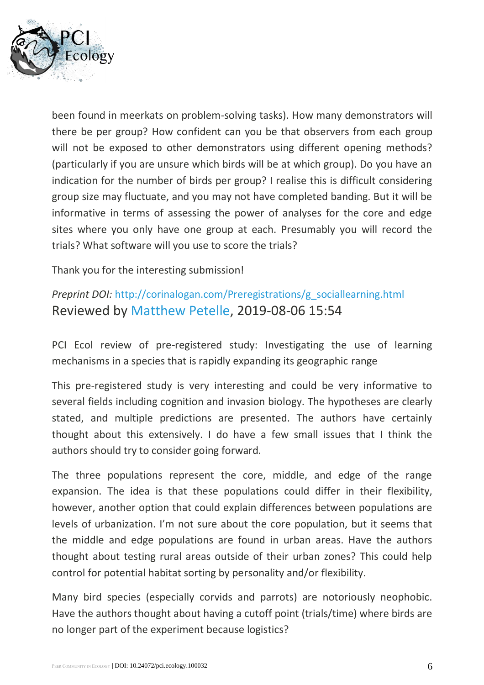

been found in meerkats on problem-solving tasks). How many demonstrators will there be per group? How confident can you be that observers from each group will not be exposed to other demonstrators using different opening methods? (particularly if you are unsure which birds will be at which group). Do you have an indication for the number of birds per group? I realise this is difficult considering group size may fluctuate, and you may not have completed banding. But it will be informative in terms of assessing the power of analyses for the core and edge sites where you only have one group at each. Presumably you will record the trials? What software will you use to score the trials?

Thank you for the interesting submission!

## *Preprint DOI:* [http://corinalogan.com/Preregistrations/g\\_sociallearning.html](http://corinalogan.com/Preregistrations/g_sociallearning.html) Reviewed by [Matthew Petelle,](https://ecology.peercommunityin.org/public/viewUserCard?userId=888) 2019-08-06 15:54

PCI Ecol review of pre-registered study: Investigating the use of learning mechanisms in a species that is rapidly expanding its geographic range

This pre-registered study is very interesting and could be very informative to several fields including cognition and invasion biology. The hypotheses are clearly stated, and multiple predictions are presented. The authors have certainly thought about this extensively. I do have a few small issues that I think the authors should try to consider going forward.

The three populations represent the core, middle, and edge of the range expansion. The idea is that these populations could differ in their flexibility, however, another option that could explain differences between populations are levels of urbanization. I'm not sure about the core population, but it seems that the middle and edge populations are found in urban areas. Have the authors thought about testing rural areas outside of their urban zones? This could help control for potential habitat sorting by personality and/or flexibility.

Many bird species (especially corvids and parrots) are notoriously neophobic. Have the authors thought about having a cutoff point (trials/time) where birds are no longer part of the experiment because logistics?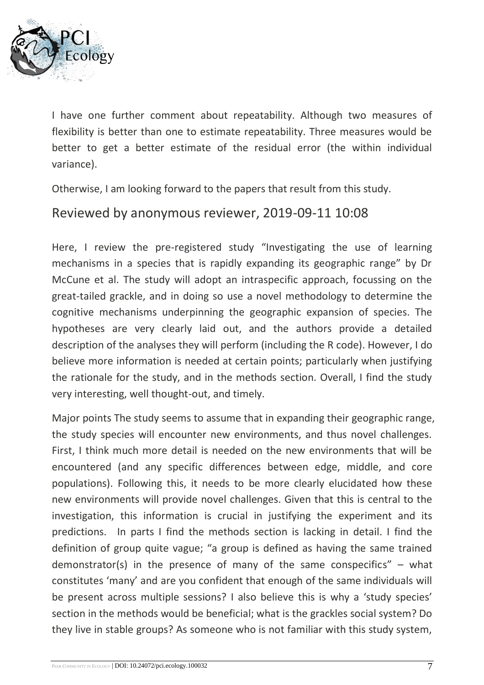

I have one further comment about repeatability. Although two measures of flexibility is better than one to estimate repeatability. Three measures would be better to get a better estimate of the residual error (the within individual variance).

Otherwise, I am looking forward to the papers that result from this study.

#### Reviewed by anonymous reviewer, 2019-09-11 10:08

Here, I review the pre-registered study "Investigating the use of learning mechanisms in a species that is rapidly expanding its geographic range" by Dr McCune et al. The study will adopt an intraspecific approach, focussing on the great-tailed grackle, and in doing so use a novel methodology to determine the cognitive mechanisms underpinning the geographic expansion of species. The hypotheses are very clearly laid out, and the authors provide a detailed description of the analyses they will perform (including the R code). However, I do believe more information is needed at certain points; particularly when justifying the rationale for the study, and in the methods section. Overall, I find the study very interesting, well thought-out, and timely.

Major points The study seems to assume that in expanding their geographic range, the study species will encounter new environments, and thus novel challenges. First, I think much more detail is needed on the new environments that will be encountered (and any specific differences between edge, middle, and core populations). Following this, it needs to be more clearly elucidated how these new environments will provide novel challenges. Given that this is central to the investigation, this information is crucial in justifying the experiment and its predictions. In parts I find the methods section is lacking in detail. I find the definition of group quite vague; "a group is defined as having the same trained demonstrator(s) in the presence of many of the same conspecifics"  $-$  what constitutes 'many' and are you confident that enough of the same individuals will be present across multiple sessions? I also believe this is why a 'study species' section in the methods would be beneficial; what is the grackles social system? Do they live in stable groups? As someone who is not familiar with this study system,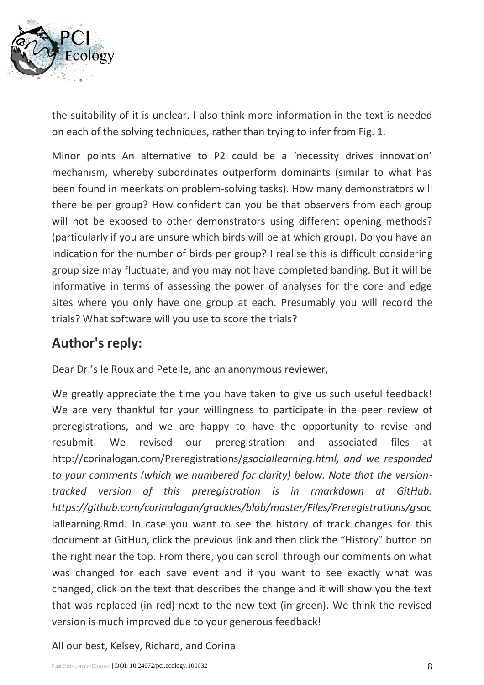

the suitability of it is unclear. I also think more information in the text is needed on each of the solving techniques, rather than trying to infer from Fig. 1.

Minor points An alternative to P2 could be a 'necessity drives innovation' mechanism, whereby subordinates outperform dominants (similar to what has been found in meerkats on problem-solving tasks). How many demonstrators will there be per group? How confident can you be that observers from each group will not be exposed to other demonstrators using different opening methods? (particularly if you are unsure which birds will be at which group). Do you have an indication for the number of birds per group? I realise this is difficult considering group size may fluctuate, and you may not have completed banding. But it will be informative in terms of assessing the power of analyses for the core and edge sites where you only have one group at each. Presumably you will record the trials? What software will you use to score the trials?

# **Author's reply:**

Dear Dr.'s le Roux and Petelle, and an anonymous reviewer,

We greatly appreciate the time you have taken to give us such useful feedback! We are very thankful for your willingness to participate in the peer review of preregistrations, and we are happy to have the opportunity to revise and resubmit. We revised our preregistration and associated files at http://corinalogan.com/Preregistrations/g*sociallearning.html, and we responded to your comments (which we numbered for clarity) below. Note that the versiontracked version of this preregistration is in rmarkdown at GitHub: https://github.com/corinalogan/grackles/blob/master/Files/Preregistrations/g*soc iallearning.Rmd. In case you want to see the history of track changes for this document at GitHub, click the previous link and then click the "History" button on the right near the top. From there, you can scroll through our comments on what was changed for each save event and if you want to see exactly what was changed, click on the text that describes the change and it will show you the text that was replaced (in red) next to the new text (in green). We think the revised version is much improved due to your generous feedback!

All our best, Kelsey, Richard, and Corina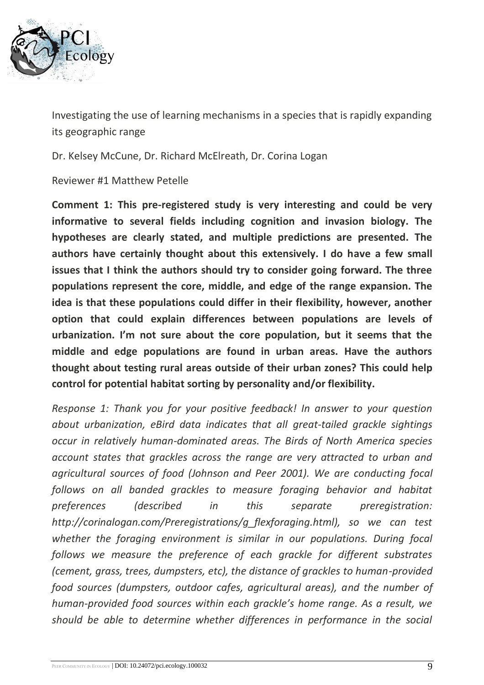

Investigating the use of learning mechanisms in a species that is rapidly expanding its geographic range

Dr. Kelsey McCune, Dr. Richard McElreath, Dr. Corina Logan

Reviewer #1 Matthew Petelle

**Comment 1: This pre-registered study is very interesting and could be very informative to several fields including cognition and invasion biology. The hypotheses are clearly stated, and multiple predictions are presented. The authors have certainly thought about this extensively. I do have a few small issues that I think the authors should try to consider going forward. The three populations represent the core, middle, and edge of the range expansion. The idea is that these populations could differ in their flexibility, however, another option that could explain differences between populations are levels of urbanization. I'm not sure about the core population, but it seems that the middle and edge populations are found in urban areas. Have the authors thought about testing rural areas outside of their urban zones? This could help control for potential habitat sorting by personality and/or flexibility.**

*Response 1: Thank you for your positive feedback! In answer to your question about urbanization, eBird data indicates that all great-tailed grackle sightings occur in relatively human-dominated areas. The Birds of North America species account states that grackles across the range are very attracted to urban and agricultural sources of food (Johnson and Peer 2001). We are conducting focal follows on all banded grackles to measure foraging behavior and habitat preferences (described in this separate preregistration: http://corinalogan.com/Preregistrations/g\_flexforaging.html), so we can test whether the foraging environment is similar in our populations. During focal follows we measure the preference of each grackle for different substrates (cement, grass, trees, dumpsters, etc), the distance of grackles to human-provided food sources (dumpsters, outdoor cafes, agricultural areas), and the number of human-provided food sources within each grackle's home range. As a result, we should be able to determine whether differences in performance in the social*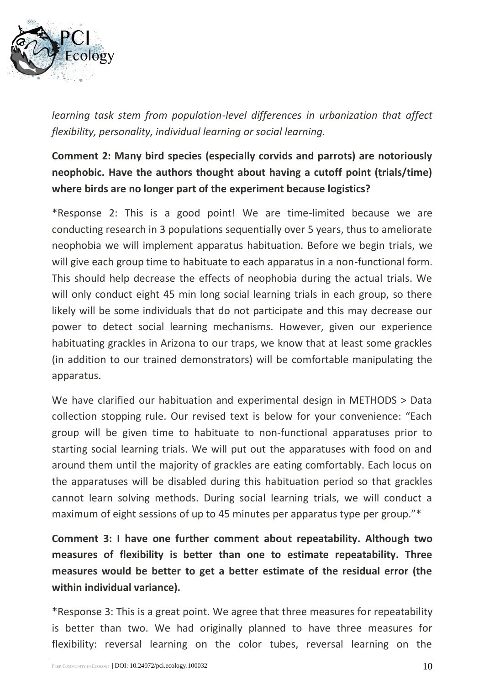

*learning task stem from population-level differences in urbanization that affect flexibility, personality, individual learning or social learning.*

## **Comment 2: Many bird species (especially corvids and parrots) are notoriously neophobic. Have the authors thought about having a cutoff point (trials/time) where birds are no longer part of the experiment because logistics?**

\*Response 2: This is a good point! We are time-limited because we are conducting research in 3 populations sequentially over 5 years, thus to ameliorate neophobia we will implement apparatus habituation. Before we begin trials, we will give each group time to habituate to each apparatus in a non-functional form. This should help decrease the effects of neophobia during the actual trials. We will only conduct eight 45 min long social learning trials in each group, so there likely will be some individuals that do not participate and this may decrease our power to detect social learning mechanisms. However, given our experience habituating grackles in Arizona to our traps, we know that at least some grackles (in addition to our trained demonstrators) will be comfortable manipulating the apparatus.

We have clarified our habituation and experimental design in METHODS > Data collection stopping rule. Our revised text is below for your convenience: "Each group will be given time to habituate to non-functional apparatuses prior to starting social learning trials. We will put out the apparatuses with food on and around them until the majority of grackles are eating comfortably. Each locus on the apparatuses will be disabled during this habituation period so that grackles cannot learn solving methods. During social learning trials, we will conduct a maximum of eight sessions of up to 45 minutes per apparatus type per group."\*

**Comment 3: I have one further comment about repeatability. Although two measures of flexibility is better than one to estimate repeatability. Three measures would be better to get a better estimate of the residual error (the within individual variance).**

\*Response 3: This is a great point. We agree that three measures for repeatability is better than two. We had originally planned to have three measures for flexibility: reversal learning on the color tubes, reversal learning on the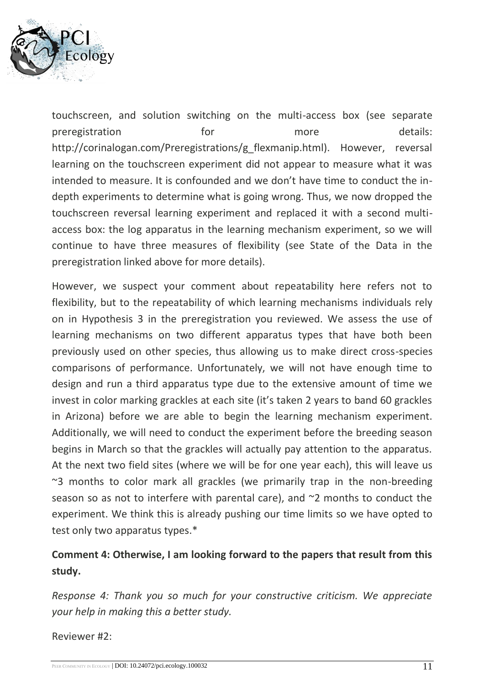

touchscreen, and solution switching on the multi-access box (see separate preregistration **for** for more details: http://corinalogan.com/Preregistrations/g\_flexmanip.html). However, reversal learning on the touchscreen experiment did not appear to measure what it was intended to measure. It is confounded and we don't have time to conduct the indepth experiments to determine what is going wrong. Thus, we now dropped the touchscreen reversal learning experiment and replaced it with a second multiaccess box: the log apparatus in the learning mechanism experiment, so we will continue to have three measures of flexibility (see State of the Data in the preregistration linked above for more details).

However, we suspect your comment about repeatability here refers not to flexibility, but to the repeatability of which learning mechanisms individuals rely on in Hypothesis 3 in the preregistration you reviewed. We assess the use of learning mechanisms on two different apparatus types that have both been previously used on other species, thus allowing us to make direct cross-species comparisons of performance. Unfortunately, we will not have enough time to design and run a third apparatus type due to the extensive amount of time we invest in color marking grackles at each site (it's taken 2 years to band 60 grackles in Arizona) before we are able to begin the learning mechanism experiment. Additionally, we will need to conduct the experiment before the breeding season begins in March so that the grackles will actually pay attention to the apparatus. At the next two field sites (where we will be for one year each), this will leave us  $\approx$ 3 months to color mark all grackles (we primarily trap in the non-breeding season so as not to interfere with parental care), and  $\sim$ 2 months to conduct the experiment. We think this is already pushing our time limits so we have opted to test only two apparatus types.\*

#### **Comment 4: Otherwise, I am looking forward to the papers that result from this study.**

*Response 4: Thank you so much for your constructive criticism. We appreciate your help in making this a better study.*

Reviewer #2: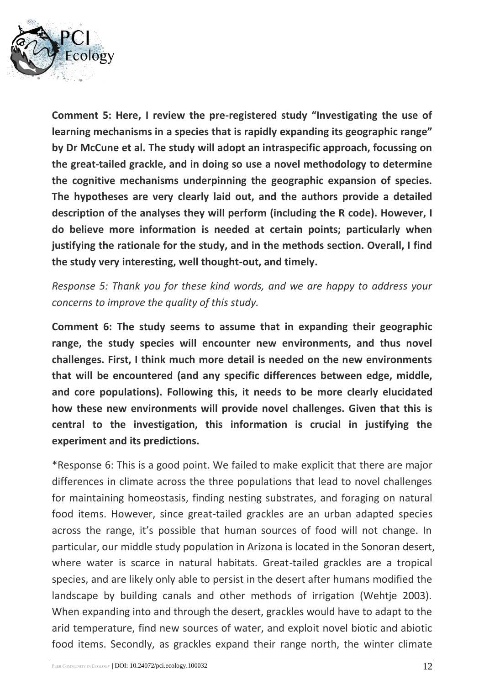

**Comment 5: Here, I review the pre-registered study "Investigating the use of learning mechanisms in a species that is rapidly expanding its geographic range" by Dr McCune et al. The study will adopt an intraspecific approach, focussing on the great-tailed grackle, and in doing so use a novel methodology to determine the cognitive mechanisms underpinning the geographic expansion of species. The hypotheses are very clearly laid out, and the authors provide a detailed description of the analyses they will perform (including the R code). However, I do believe more information is needed at certain points; particularly when justifying the rationale for the study, and in the methods section. Overall, I find the study very interesting, well thought-out, and timely.**

*Response 5: Thank you for these kind words, and we are happy to address your concerns to improve the quality of this study.*

**Comment 6: The study seems to assume that in expanding their geographic range, the study species will encounter new environments, and thus novel challenges. First, I think much more detail is needed on the new environments that will be encountered (and any specific differences between edge, middle, and core populations). Following this, it needs to be more clearly elucidated how these new environments will provide novel challenges. Given that this is central to the investigation, this information is crucial in justifying the experiment and its predictions.**

\*Response 6: This is a good point. We failed to make explicit that there are major differences in climate across the three populations that lead to novel challenges for maintaining homeostasis, finding nesting substrates, and foraging on natural food items. However, since great-tailed grackles are an urban adapted species across the range, it's possible that human sources of food will not change. In particular, our middle study population in Arizona is located in the Sonoran desert, where water is scarce in natural habitats. Great-tailed grackles are a tropical species, and are likely only able to persist in the desert after humans modified the landscape by building canals and other methods of irrigation (Wehtje 2003). When expanding into and through the desert, grackles would have to adapt to the arid temperature, find new sources of water, and exploit novel biotic and abiotic food items. Secondly, as grackles expand their range north, the winter climate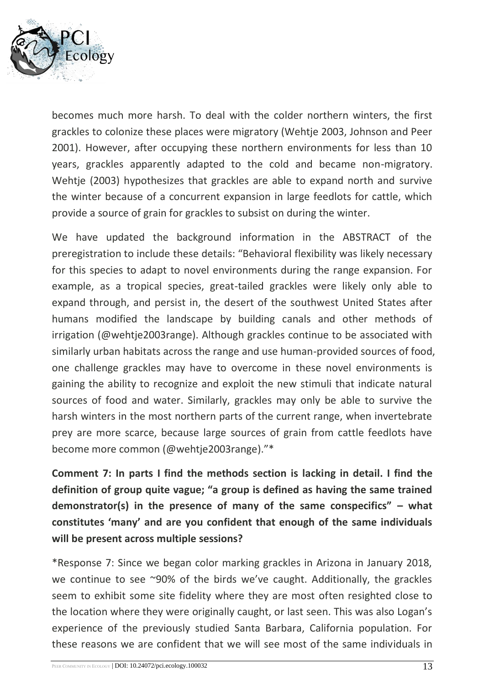

becomes much more harsh. To deal with the colder northern winters, the first grackles to colonize these places were migratory (Wehtje 2003, Johnson and Peer 2001). However, after occupying these northern environments for less than 10 years, grackles apparently adapted to the cold and became non-migratory. Wehtje (2003) hypothesizes that grackles are able to expand north and survive the winter because of a concurrent expansion in large feedlots for cattle, which provide a source of grain for grackles to subsist on during the winter.

We have updated the background information in the ABSTRACT of the preregistration to include these details: "Behavioral flexibility was likely necessary for this species to adapt to novel environments during the range expansion. For example, as a tropical species, great-tailed grackles were likely only able to expand through, and persist in, the desert of the southwest United States after humans modified the landscape by building canals and other methods of irrigation (@wehtje2003range). Although grackles continue to be associated with similarly urban habitats across the range and use human-provided sources of food, one challenge grackles may have to overcome in these novel environments is gaining the ability to recognize and exploit the new stimuli that indicate natural sources of food and water. Similarly, grackles may only be able to survive the harsh winters in the most northern parts of the current range, when invertebrate prey are more scarce, because large sources of grain from cattle feedlots have become more common (@wehtje2003range)."\*

**Comment 7: In parts I find the methods section is lacking in detail. I find the definition of group quite vague; "a group is defined as having the same trained demonstrator(s) in the presence of many of the same conspecifics" – what constitutes 'many' and are you confident that enough of the same individuals will be present across multiple sessions?**

\*Response 7: Since we began color marking grackles in Arizona in January 2018, we continue to see ~90% of the birds we've caught. Additionally, the grackles seem to exhibit some site fidelity where they are most often resighted close to the location where they were originally caught, or last seen. This was also Logan's experience of the previously studied Santa Barbara, California population. For these reasons we are confident that we will see most of the same individuals in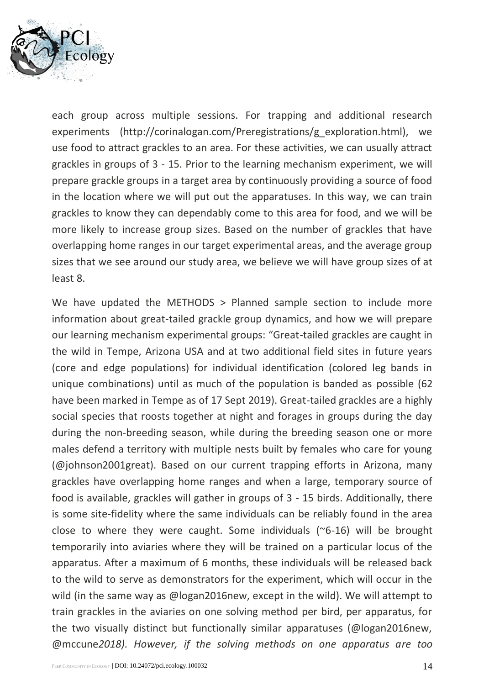

each group across multiple sessions. For trapping and additional research experiments (http://corinalogan.com/Preregistrations/g\_exploration.html), we use food to attract grackles to an area. For these activities, we can usually attract grackles in groups of 3 - 15. Prior to the learning mechanism experiment, we will prepare grackle groups in a target area by continuously providing a source of food in the location where we will put out the apparatuses. In this way, we can train grackles to know they can dependably come to this area for food, and we will be more likely to increase group sizes. Based on the number of grackles that have overlapping home ranges in our target experimental areas, and the average group sizes that we see around our study area, we believe we will have group sizes of at least 8.

We have updated the METHODS > Planned sample section to include more information about great-tailed grackle group dynamics, and how we will prepare our learning mechanism experimental groups: "Great-tailed grackles are caught in the wild in Tempe, Arizona USA and at two additional field sites in future years (core and edge populations) for individual identification (colored leg bands in unique combinations) until as much of the population is banded as possible (62 have been marked in Tempe as of 17 Sept 2019). Great-tailed grackles are a highly social species that roosts together at night and forages in groups during the day during the non-breeding season, while during the breeding season one or more males defend a territory with multiple nests built by females who care for young (@johnson2001great). Based on our current trapping efforts in Arizona, many grackles have overlapping home ranges and when a large, temporary source of food is available, grackles will gather in groups of 3 - 15 birds. Additionally, there is some site-fidelity where the same individuals can be reliably found in the area close to where they were caught. Some individuals (~6-16) will be brought temporarily into aviaries where they will be trained on a particular locus of the apparatus. After a maximum of 6 months, these individuals will be released back to the wild to serve as demonstrators for the experiment, which will occur in the wild (in the same way as @logan2016new, except in the wild). We will attempt to train grackles in the aviaries on one solving method per bird, per apparatus, for the two visually distinct but functionally similar apparatuses (@logan2016new, @mccune*2018). However, if the solving methods on one apparatus are too*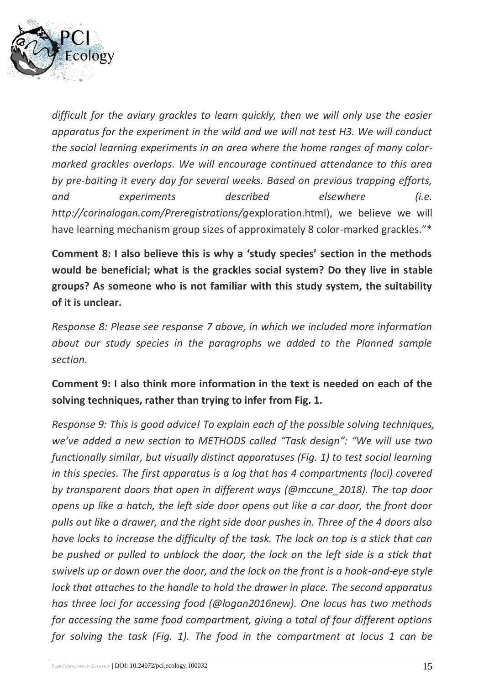

*difficult for the aviary grackles to learn quickly, then we will only use the easier apparatus for the experiment in the wild and we will not test H3. We will conduct the social learning experiments in an area where the home ranges of many colormarked grackles overlaps. We will encourage continued attendance to this area by pre-baiting it every day for several weeks. Based on previous trapping efforts, and experiments described elsewhere (i.e. http://corinalogan.com/Preregistrations/g*exploration.html), we believe we will have learning mechanism group sizes of approximately 8 color-marked grackles."\*

**Comment 8: I also believe this is why a 'study species' section in the methods would be beneficial; what is the grackles social system? Do they live in stable groups? As someone who is not familiar with this study system, the suitability of it is unclear.**

*Response 8: Please see response 7 above, in which we included more information about our study species in the paragraphs we added to the Planned sample section.*

### **Comment 9: I also think more information in the text is needed on each of the solving techniques, rather than trying to infer from Fig. 1.**

*Response 9: This is good advice! To explain each of the possible solving techniques, we've added a new section to METHODS called "Task design": "We will use two functionally similar, but visually distinct apparatuses (Fig. 1) to test social learning in this species. The first apparatus is a log that has 4 compartments (loci) covered by transparent doors that open in different ways (@mccune\_2018). The top door opens up like a hatch, the left side door opens out like a car door, the front door pulls out like a drawer, and the right side door pushes in. Three of the 4 doors also have locks to increase the difficulty of the task. The lock on top is a stick that can be pushed or pulled to unblock the door, the lock on the left side is a stick that swivels up or down over the door, and the lock on the front is a hook-and-eye style lock that attaches to the handle to hold the drawer in place. The second apparatus has three loci for accessing food (@logan2016new). One locus has two methods for accessing the same food compartment, giving a total of four different options for solving the task (Fig. 1). The food in the compartment at locus 1 can be*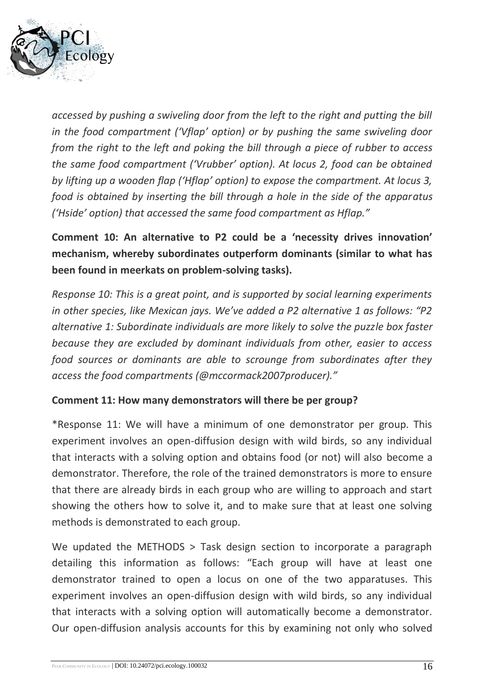

*accessed by pushing a swiveling door from the left to the right and putting the bill in the food compartment ('Vflap' option) or by pushing the same swiveling door from the right to the left and poking the bill through a piece of rubber to access the same food compartment ('Vrubber' option). At locus 2, food can be obtained by lifting up a wooden flap ('Hflap' option) to expose the compartment. At locus 3, food is obtained by inserting the bill through a hole in the side of the apparatus ('Hside' option) that accessed the same food compartment as Hflap."*

**Comment 10: An alternative to P2 could be a 'necessity drives innovation' mechanism, whereby subordinates outperform dominants (similar to what has been found in meerkats on problem-solving tasks).**

*Response 10: This is a great point, and is supported by social learning experiments in other species, like Mexican jays. We've added a P2 alternative 1 as follows: "P2 alternative 1: Subordinate individuals are more likely to solve the puzzle box faster because they are excluded by dominant individuals from other, easier to access food sources or dominants are able to scrounge from subordinates after they access the food compartments (@mccormack2007producer)."*

#### **Comment 11: How many demonstrators will there be per group?**

\*Response 11: We will have a minimum of one demonstrator per group. This experiment involves an open-diffusion design with wild birds, so any individual that interacts with a solving option and obtains food (or not) will also become a demonstrator. Therefore, the role of the trained demonstrators is more to ensure that there are already birds in each group who are willing to approach and start showing the others how to solve it, and to make sure that at least one solving methods is demonstrated to each group.

We updated the METHODS > Task design section to incorporate a paragraph detailing this information as follows: "Each group will have at least one demonstrator trained to open a locus on one of the two apparatuses. This experiment involves an open-diffusion design with wild birds, so any individual that interacts with a solving option will automatically become a demonstrator. Our open-diffusion analysis accounts for this by examining not only who solved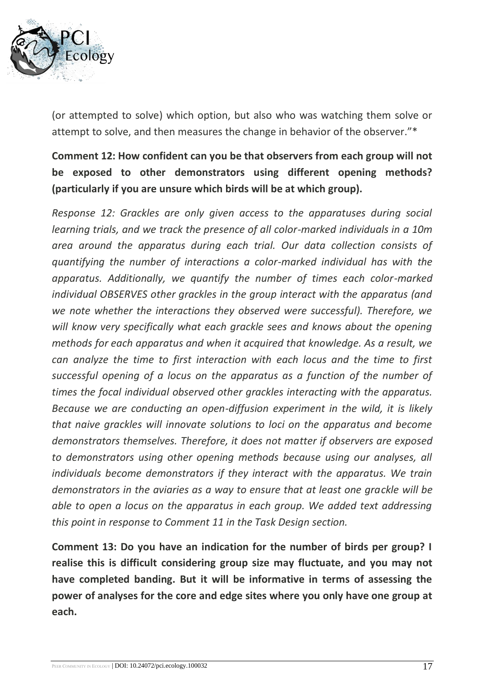

(or attempted to solve) which option, but also who was watching them solve or attempt to solve, and then measures the change in behavior of the observer."\*

**Comment 12: How confident can you be that observers from each group will not be exposed to other demonstrators using different opening methods? (particularly if you are unsure which birds will be at which group).**

*Response 12: Grackles are only given access to the apparatuses during social learning trials, and we track the presence of all color-marked individuals in a 10m area around the apparatus during each trial. Our data collection consists of quantifying the number of interactions a color-marked individual has with the apparatus. Additionally, we quantify the number of times each color-marked individual OBSERVES other grackles in the group interact with the apparatus (and we note whether the interactions they observed were successful). Therefore, we*  will know very specifically what each grackle sees and knows about the opening *methods for each apparatus and when it acquired that knowledge. As a result, we can analyze the time to first interaction with each locus and the time to first*  successful opening of a locus on the apparatus as a function of the number of *times the focal individual observed other grackles interacting with the apparatus. Because we are conducting an open-diffusion experiment in the wild, it is likely that naive grackles will innovate solutions to loci on the apparatus and become demonstrators themselves. Therefore, it does not matter if observers are exposed to demonstrators using other opening methods because using our analyses, all individuals become demonstrators if they interact with the apparatus. We train demonstrators in the aviaries as a way to ensure that at least one grackle will be able to open a locus on the apparatus in each group. We added text addressing this point in response to Comment 11 in the Task Design section.*

**Comment 13: Do you have an indication for the number of birds per group? I realise this is difficult considering group size may fluctuate, and you may not have completed banding. But it will be informative in terms of assessing the power of analyses for the core and edge sites where you only have one group at each.**